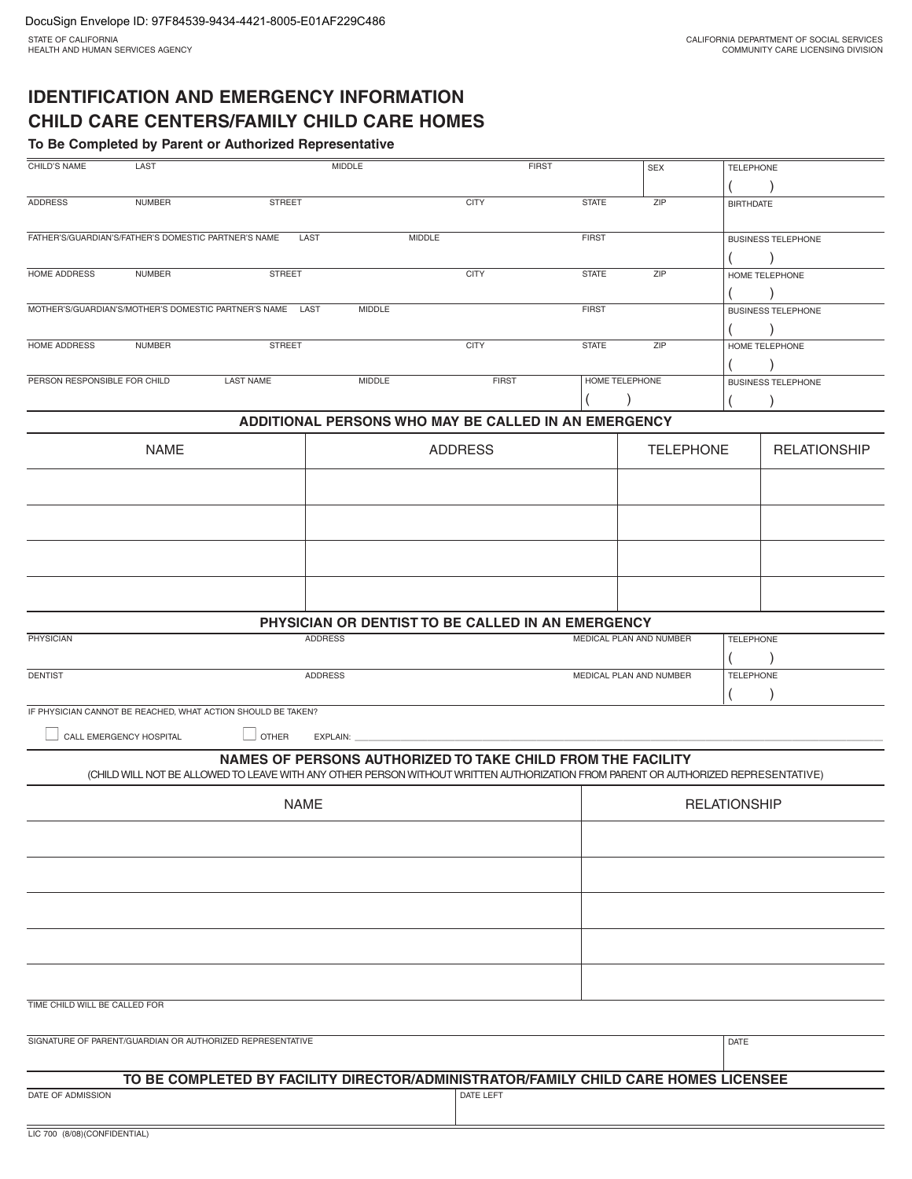# **IDENTIFICATION AND EMERGENCY INFORMATION CHILD CARE CENTERS/FAMILY CHILD CARE HOMES**

**To Be Completed by Parent or Authorized Representative**

| CHILD'S NAME                                         | LAST                    |                                                                                                                                   | MIDDLE                                                                                                                                                                                                                         | <b>FIRST</b>                                                |                | <b>SEX</b>              | <b>TELEPHONE</b> |                           |  |
|------------------------------------------------------|-------------------------|-----------------------------------------------------------------------------------------------------------------------------------|--------------------------------------------------------------------------------------------------------------------------------------------------------------------------------------------------------------------------------|-------------------------------------------------------------|----------------|-------------------------|------------------|---------------------------|--|
| <b>ADDRESS</b>                                       | <b>NUMBER</b>           | <b>STREET</b>                                                                                                                     |                                                                                                                                                                                                                                | <b>CITY</b>                                                 | <b>STATE</b>   | ZIP                     | <b>BIRTHDATE</b> |                           |  |
| FATHER'S/GUARDIAN'S/FATHER'S DOMESTIC PARTNER'S NAME |                         | LAST                                                                                                                              |                                                                                                                                                                                                                                | MIDDLE                                                      | <b>FIRST</b>   |                         |                  | <b>BUSINESS TELEPHONE</b> |  |
| HOME ADDRESS                                         | <b>NUMBER</b>           | <b>STREET</b>                                                                                                                     |                                                                                                                                                                                                                                | <b>CITY</b>                                                 | <b>STATE</b>   | ZIP                     |                  | HOME TELEPHONE            |  |
|                                                      |                         | MOTHER'S/GUARDIAN'S/MOTHER'S DOMESTIC PARTNER'S NAME LAST                                                                         | MIDDLE                                                                                                                                                                                                                         |                                                             | <b>FIRST</b>   |                         |                  | <b>BUSINESS TELEPHONE</b> |  |
| HOME ADDRESS                                         | <b>NUMBER</b>           | <b>STREET</b>                                                                                                                     |                                                                                                                                                                                                                                | <b>CITY</b>                                                 | <b>STATE</b>   | ZIP                     |                  | HOME TELEPHONE            |  |
| PERSON RESPONSIBLE FOR CHILD                         |                         | <b>LAST NAME</b>                                                                                                                  | <b>MIDDLE</b>                                                                                                                                                                                                                  | <b>FIRST</b>                                                | HOME TELEPHONE |                         |                  | <b>BUSINESS TELEPHONE</b> |  |
|                                                      |                         |                                                                                                                                   |                                                                                                                                                                                                                                | ADDITIONAL PERSONS WHO MAY BE CALLED IN AN EMERGENCY        |                |                         |                  |                           |  |
|                                                      |                         |                                                                                                                                   |                                                                                                                                                                                                                                |                                                             |                |                         |                  |                           |  |
|                                                      | <b>NAME</b>             |                                                                                                                                   |                                                                                                                                                                                                                                | <b>ADDRESS</b>                                              |                | <b>TELEPHONE</b>        |                  | <b>RELATIONSHIP</b>       |  |
|                                                      |                         |                                                                                                                                   |                                                                                                                                                                                                                                |                                                             |                |                         |                  |                           |  |
|                                                      |                         |                                                                                                                                   |                                                                                                                                                                                                                                |                                                             |                |                         |                  |                           |  |
|                                                      |                         |                                                                                                                                   |                                                                                                                                                                                                                                |                                                             |                |                         |                  |                           |  |
|                                                      |                         |                                                                                                                                   |                                                                                                                                                                                                                                | PHYSICIAN OR DENTIST TO BE CALLED IN AN EMERGENCY           |                |                         |                  |                           |  |
| <b>PHYSICIAN</b>                                     |                         | <b>ADDRESS</b>                                                                                                                    |                                                                                                                                                                                                                                |                                                             |                | MEDICAL PLAN AND NUMBER | <b>TELEPHONE</b> |                           |  |
| <b>DENTIST</b>                                       |                         | ADDRESS                                                                                                                           |                                                                                                                                                                                                                                |                                                             |                | MEDICAL PLAN AND NUMBER | <b>TELEPHONE</b> |                           |  |
|                                                      |                         | IF PHYSICIAN CANNOT BE REACHED, WHAT ACTION SHOULD BE TAKEN?                                                                      |                                                                                                                                                                                                                                |                                                             |                |                         |                  |                           |  |
|                                                      | CALL EMERGENCY HOSPITAL | $\Box$ OTHER                                                                                                                      | EXPLAIN: VALUE AND THE STATE AND THE STATE AND THE STATE AND THE STATE AND THE STATE AND THE STATE AND THE STATE AND THE STATE AND THE STATE AND THE STATE AND THE STATE AND THE STATE AND THE STATE AND THE STATE AND THE STA |                                                             |                |                         |                  |                           |  |
|                                                      |                         | (CHILD WILL NOT BE ALLOWED TO LEAVE WITH ANY OTHER PERSON WITHOUT WRITTEN AUTHORIZATION FROM PARENT OR AUTHORIZED REPRESENTATIVE) |                                                                                                                                                                                                                                | NAMES OF PERSONS AUTHORIZED TO TAKE CHILD FROM THE FACILITY |                |                         |                  |                           |  |
| <b>NAME</b>                                          |                         |                                                                                                                                   |                                                                                                                                                                                                                                |                                                             |                | <b>RELATIONSHIP</b>     |                  |                           |  |
|                                                      |                         |                                                                                                                                   |                                                                                                                                                                                                                                |                                                             |                |                         |                  |                           |  |
|                                                      |                         |                                                                                                                                   |                                                                                                                                                                                                                                |                                                             |                |                         |                  |                           |  |
|                                                      |                         |                                                                                                                                   |                                                                                                                                                                                                                                |                                                             |                |                         |                  |                           |  |
|                                                      |                         |                                                                                                                                   |                                                                                                                                                                                                                                |                                                             |                |                         |                  |                           |  |
|                                                      |                         |                                                                                                                                   |                                                                                                                                                                                                                                |                                                             |                |                         |                  |                           |  |
| TIME CHILD WILL BE CALLED FOR                        |                         |                                                                                                                                   |                                                                                                                                                                                                                                |                                                             |                |                         |                  |                           |  |
|                                                      |                         | SIGNATURE OF PARENT/GUARDIAN OR AUTHORIZED REPRESENTATIVE                                                                         |                                                                                                                                                                                                                                |                                                             |                |                         | DATE             |                           |  |
|                                                      |                         | TO BE COMPLETED BY FACILITY DIRECTOR/ADMINISTRATOR/FAMILY CHILD CARE HOMES LICENSEE                                               |                                                                                                                                                                                                                                |                                                             |                |                         |                  |                           |  |
| DATE OF ADMISSION                                    |                         |                                                                                                                                   |                                                                                                                                                                                                                                | DATE LEFT                                                   |                |                         |                  |                           |  |
| LIC 700 (9/09) (CONFIDENTI                           |                         |                                                                                                                                   |                                                                                                                                                                                                                                |                                                             |                |                         |                  |                           |  |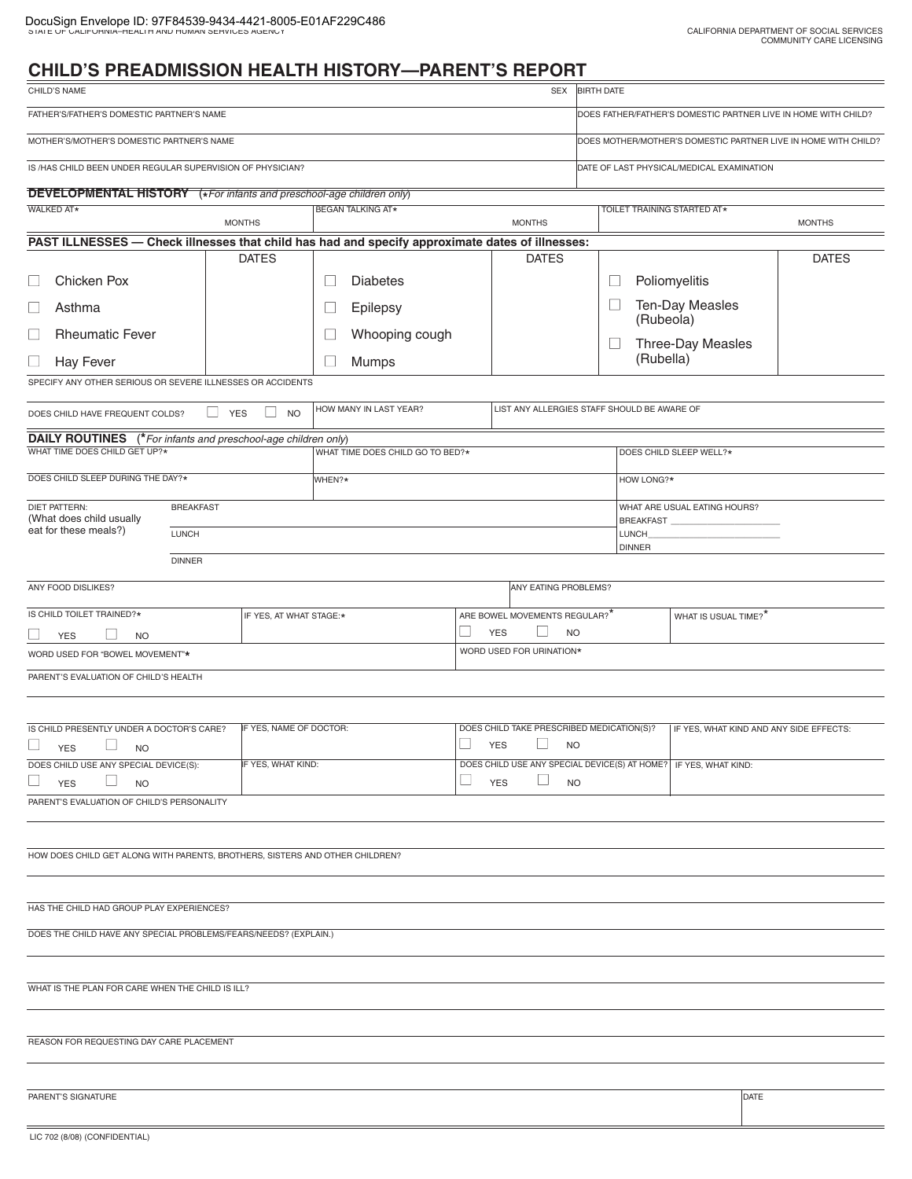÷,

# **CHILD'S PREADMISSION HEALTH HISTORY—PARENT'S REPORT**

| CHILD'S NAME                                                                                          |                                         |                                                                                                                              |            | SEX                                                         | <b>BIRTH DATE</b>                                              |                                      |                                         |               |
|-------------------------------------------------------------------------------------------------------|-----------------------------------------|------------------------------------------------------------------------------------------------------------------------------|------------|-------------------------------------------------------------|----------------------------------------------------------------|--------------------------------------|-----------------------------------------|---------------|
| FATHER'S/FATHER'S DOMESTIC PARTNER'S NAME                                                             |                                         |                                                                                                                              |            |                                                             | DOES FATHER/FATHER'S DOMESTIC PARTNER LIVE IN HOME WITH CHILD? |                                      |                                         |               |
| MOTHER'S/MOTHER'S DOMESTIC PARTNER'S NAME                                                             |                                         |                                                                                                                              |            |                                                             | DOES MOTHER/MOTHER'S DOMESTIC PARTNER LIVE IN HOME WITH CHILD? |                                      |                                         |               |
| IS /HAS CHILD BEEN UNDER REGULAR SUPERVISION OF PHYSICIAN?                                            |                                         |                                                                                                                              |            |                                                             | DATE OF LAST PHYSICAL/MEDICAL EXAMINATION                      |                                      |                                         |               |
| <b>DEVELOPMENTAL HISTORY</b> (*For infants and preschool-age children only)                           |                                         |                                                                                                                              |            |                                                             |                                                                |                                      |                                         |               |
| <b>WALKED AT*</b>                                                                                     |                                         | <b>BEGAN TALKING AT*</b>                                                                                                     |            |                                                             |                                                                |                                      | TOILET TRAINING STARTED AT*             |               |
| PAST ILLNESSES - Check illnesses that child has had and specify approximate dates of illnesses:       | <b>MONTHS</b>                           |                                                                                                                              |            | <b>MONTHS</b>                                               |                                                                |                                      |                                         | <b>MONTHS</b> |
|                                                                                                       | <b>DATES</b>                            |                                                                                                                              |            | <b>DATES</b>                                                |                                                                |                                      |                                         | <b>DATES</b>  |
| <b>Chicken Pox</b>                                                                                    |                                         | $\Box$<br><b>Diabetes</b>                                                                                                    |            |                                                             | $\Box$                                                         |                                      | Poliomyelitis                           |               |
| □<br>Asthma                                                                                           |                                         | $\Box$<br>Epilepsy                                                                                                           |            |                                                             | $\Box$                                                         | (Rubeola)                            | <b>Ten-Day Measles</b>                  |               |
| <b>Rheumatic Fever</b><br>□                                                                           |                                         | $\Box$<br>Whooping cough                                                                                                     |            |                                                             | $\Box$                                                         |                                      | Three-Day Measles                       |               |
| Hay Fever<br>$\Box$                                                                                   |                                         | $\Box$<br>Mumps                                                                                                              |            |                                                             |                                                                | (Rubella)                            |                                         |               |
| SPECIFY ANY OTHER SERIOUS OR SEVERE ILLNESSES OR ACCIDENTS                                            |                                         |                                                                                                                              |            |                                                             |                                                                |                                      |                                         |               |
| DOES CHILD HAVE FREQUENT COLDS?                                                                       | ⊔<br>$\perp$<br><b>YES</b><br><b>NO</b> | HOW MANY IN LAST YEAR?                                                                                                       |            | LIST ANY ALLERGIES STAFF SHOULD BE AWARE OF                 |                                                                |                                      |                                         |               |
| <b>DAILY ROUTINES</b> (*For infants and preschool-age children only)                                  |                                         |                                                                                                                              |            |                                                             |                                                                |                                      |                                         |               |
| WHAT TIME DOES CHILD GET UP?*                                                                         |                                         | WHAT TIME DOES CHILD GO TO BED?*                                                                                             |            |                                                             |                                                                |                                      | DOES CHILD SLEEP WELL?*                 |               |
| DOES CHILD SLEEP DURING THE DAY?*                                                                     |                                         | WHEN?*                                                                                                                       |            |                                                             |                                                                | HOW LONG?*                           |                                         |               |
| <b>DIET PATTERN:</b><br><b>BREAKFAST</b><br>(What does child usually                                  |                                         |                                                                                                                              |            |                                                             |                                                                | WHAT ARE USUAL EATING HOURS?         |                                         |               |
| eat for these meals?)<br><b>LUNCH</b>                                                                 |                                         |                                                                                                                              |            |                                                             |                                                                | BREAKFAST_<br>LUNCH<br><b>DINNER</b> |                                         |               |
| <b>DINNER</b>                                                                                         |                                         |                                                                                                                              |            |                                                             |                                                                |                                      |                                         |               |
| ANY FOOD DISLIKES?                                                                                    |                                         |                                                                                                                              |            | ANY EATING PROBLEMS?                                        |                                                                |                                      |                                         |               |
| IS CHILD TOILET TRAINED?*                                                                             | IF YES, AT WHAT STAGE:*                 |                                                                                                                              |            | ARE BOWEL MOVEMENTS REGULAR? <sup>*</sup>                   |                                                                |                                      | WHAT IS USUAL TIME? <sup>*</sup>        |               |
| $\mathbf{L}$<br><b>YES</b><br><b>NO</b>                                                               |                                         | $\Box$<br><b>YES</b><br><b>NO</b>                                                                                            |            |                                                             |                                                                |                                      |                                         |               |
| WORD USED FOR "BOWEL MOVEMENT"*                                                                       |                                         | WORD USED FOR URINATION*                                                                                                     |            |                                                             |                                                                |                                      |                                         |               |
| PARENT'S EVALUATION OF CHILD'S HEALTH                                                                 |                                         |                                                                                                                              |            |                                                             |                                                                |                                      |                                         |               |
|                                                                                                       |                                         |                                                                                                                              |            |                                                             |                                                                |                                      |                                         |               |
| IS CHILD PRESENTLY UNDER A DOCTOR'S CARE?<br>∟<br><b>YES</b><br><b>NO</b>                             | IF YES, NAME OF DOCTOR:                 |                                                                                                                              | <b>YES</b> | DOES CHILD TAKE PRESCRIBED MEDICATION(S)?<br>ப<br><b>NO</b> |                                                                |                                      | IF YES, WHAT KIND AND ANY SIDE EFFECTS: |               |
| IF YES, WHAT KIND:<br>DOES CHILD USE ANY SPECIAL DEVICE(S):<br>⊔<br>$\Box$<br><b>YES</b><br><b>NO</b> |                                         | DOES CHILD USE ANY SPECIAL DEVICE(S) AT HOME? IF YES, WHAT KIND:<br>$\begin{array}{c} \hline \end{array}$<br>⊔<br><b>YES</b> |            | <b>NO</b>                                                   |                                                                |                                      |                                         |               |
| PARENT'S EVALUATION OF CHILD'S PERSONALITY                                                            |                                         |                                                                                                                              |            |                                                             |                                                                |                                      |                                         |               |
|                                                                                                       |                                         |                                                                                                                              |            |                                                             |                                                                |                                      |                                         |               |
| HOW DOES CHILD GET ALONG WITH PARENTS, BROTHERS, SISTERS AND OTHER CHILDREN?                          |                                         |                                                                                                                              |            |                                                             |                                                                |                                      |                                         |               |
|                                                                                                       |                                         |                                                                                                                              |            |                                                             |                                                                |                                      |                                         |               |
| HAS THE CHILD HAD GROUP PLAY EXPERIENCES?                                                             |                                         |                                                                                                                              |            |                                                             |                                                                |                                      |                                         |               |
| DOES THE CHILD HAVE ANY SPECIAL PROBLEMS/FEARS/NEEDS? (EXPLAIN.)                                      |                                         |                                                                                                                              |            |                                                             |                                                                |                                      |                                         |               |
|                                                                                                       |                                         |                                                                                                                              |            |                                                             |                                                                |                                      |                                         |               |
| WHAT IS THE PLAN FOR CARE WHEN THE CHILD IS ILL?                                                      |                                         |                                                                                                                              |            |                                                             |                                                                |                                      |                                         |               |
|                                                                                                       |                                         |                                                                                                                              |            |                                                             |                                                                |                                      |                                         |               |
| REASON FOR REQUESTING DAY CARE PLACEMENT                                                              |                                         |                                                                                                                              |            |                                                             |                                                                |                                      |                                         |               |
|                                                                                                       |                                         |                                                                                                                              |            |                                                             |                                                                |                                      |                                         |               |
| PARENT'S SIGNATURE                                                                                    |                                         |                                                                                                                              |            |                                                             |                                                                |                                      | DATE                                    |               |
| LIC 702 (8/08) (CONFIDENTIAL)                                                                         |                                         |                                                                                                                              |            |                                                             |                                                                |                                      |                                         |               |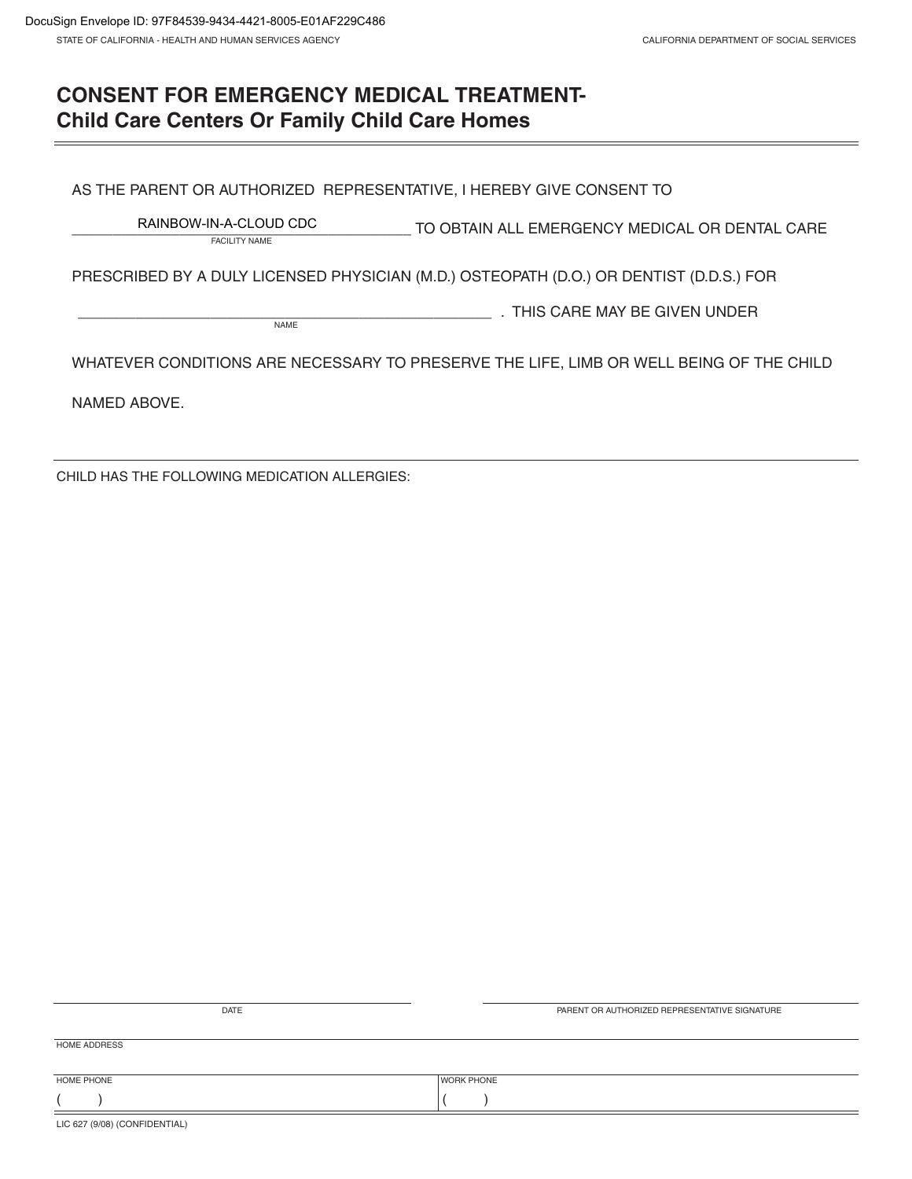# **CONSENT FOR EMERGENCY MEDICAL TREATMENT-Child Care Centers Or Family Child Care Homes**

AS THE PARENT OR AUTHORIZED REPRESENTATIVE, I HEREBY GIVE CONSENT TO

\_\_\_\_\_\_\_\_\_\_\_\_\_\_\_\_\_\_\_\_\_\_\_\_\_\_\_\_\_\_\_\_\_\_\_\_\_\_\_\_\_ TO OBTAIN ALL EMERGENCY MEDICAL OR DENTAL CARE FACILITY NAME RAINBOW-IN-A-CLOUD CDC

PRESCRIBED BY A DULY LICENSED PHYSICIAN (M.D.) OSTEOPATH (D.O.) OR DENTIST (D.D.S.) FOR

NAME **NAME Replace CONSTRUCTED A THIS CARE MAY BE GIVEN UNDER** 

WHATEVER CONDITIONS ARE NECESSARY TO PRESERVE THE LIFE, LIMB OR WELL BEING OF THE CHILD

NAMED ABOVE.

CHILD HAS THE FOLLOWING MEDICATION ALLERGIES:

| DATE                          | PARENT OR AUTHORIZED REPRESENTATIVE SIGNATURE |
|-------------------------------|-----------------------------------------------|
|                               |                                               |
| <b>HOME ADDRESS</b>           |                                               |
|                               |                                               |
|                               |                                               |
| HOME PHONE                    | <b>WORK PHONE</b>                             |
|                               |                                               |
| LIC 627 (9/08) (CONFIDENTIAL) |                                               |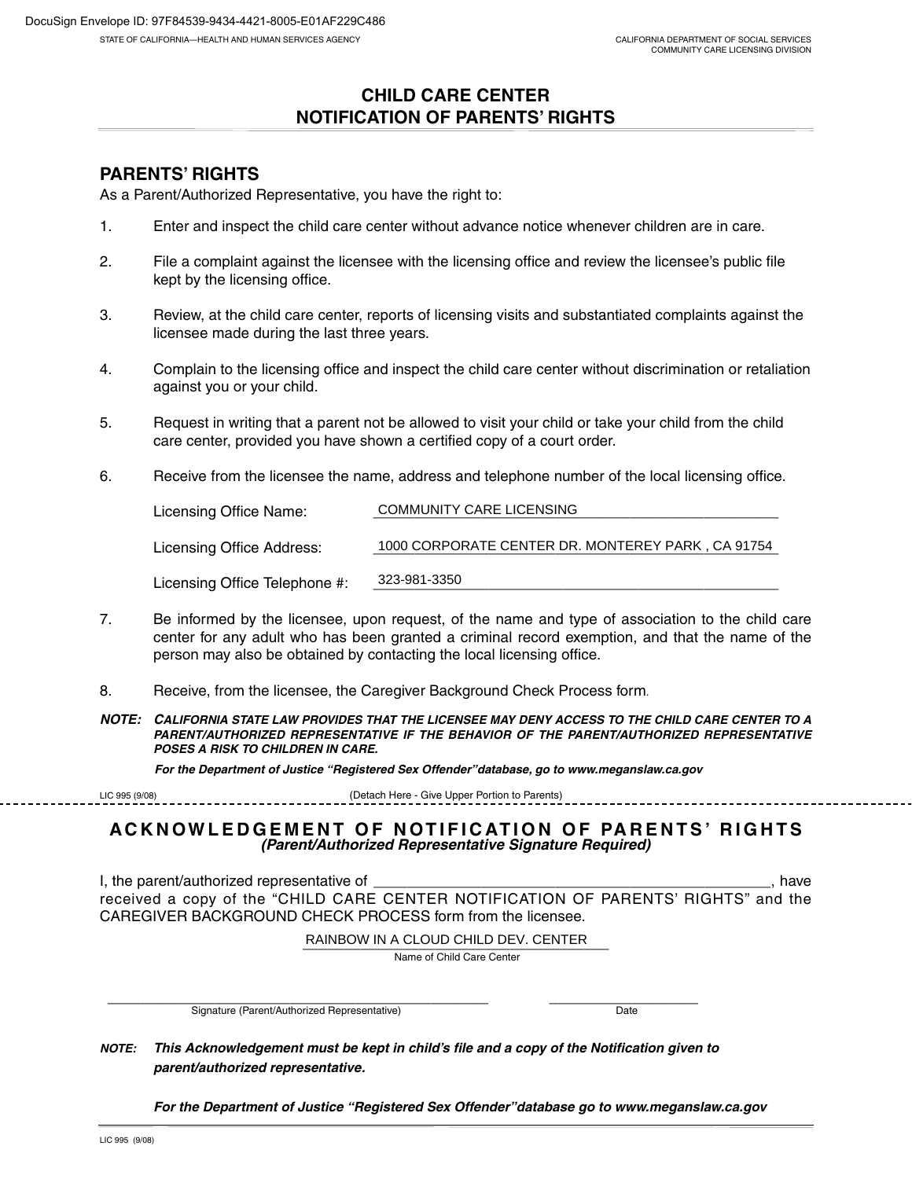### **CHILD CARE CENTER NOTIFICATION OF PARENTS' RIGHTS**

### **PARENTS' RIGHTS**

As a Parent/Authorized Representative, you have the right to:

- 1. Enter and inspect the child care center without advance notice whenever children are in care.
- 2. File a complaint against the licensee with the licensing office and review the licensee's public file kept by the licensing office.
- 3. Review, at the child care center, reports of licensing visits and substantiated complaints against the licensee made during the last three years.
- 4. Complain to the licensing office and inspect the child care center without discrimination or retaliation against you or your child.
- 5. Request in writing that a parent not be allowed to visit your child or take your child from the child care center, provided you have shown a certified copy of a court order.
- 6. Receive from the licensee the name, address and telephone number of the local licensing office.

| Licensing Office Name:        | <b>COMMUNITY CARE LICENSING</b>                   |  |  |  |
|-------------------------------|---------------------------------------------------|--|--|--|
|                               |                                                   |  |  |  |
| Licensing Office Address:     | 1000 CORPORATE CENTER DR. MONTEREY PARK, CA 91754 |  |  |  |
|                               |                                                   |  |  |  |
| Licensing Office Telephone #: | 323-981-3350                                      |  |  |  |

- 7. Be informed by the licensee, upon request, of the name and type of association to the child care center for any adult who has been granted a criminal record exemption, and that the name of the person may also be obtained by contacting the local licensing office.
- 8. Receive, from the licensee, the Caregiver Background Check Process form.

**NOTE: CALIFORNIA STATE LAW PROVIDES THAT THE LICENSEE MAY DENY ACCESS TO THE CHILD CARE CENTER TO A PARENT/AUTHORIZED REPRESENTATIVE IF THE BEHAVIOR OF THE PARENT/AUTHORIZED REPRESENTATIVE POSES A RISK TO CHILDREN IN CARE.**

**For the Department of Justice "Registered Sex Offender"database, go to www.meganslaw.ca.gov**

| LIC 995 (9/08) | (Detach Here - Give Upper Portion to Parents) |  |  |
|----------------|-----------------------------------------------|--|--|
|                |                                               |  |  |

#### **ACKNOWLEDGEMENT OF NOTIFICATION OF PARENTS' RIGHTS (Parent/Authorized Representative Signature Required)**

I, the parent/authorized representative of \_\_\_\_\_\_\_\_\_\_\_\_\_\_\_\_\_\_\_\_\_\_\_\_\_\_\_\_\_\_\_\_\_\_\_\_\_\_\_\_\_\_\_\_\_\_\_\_, have received a copy of the "CHILD CARE CENTER NOTIFICATION OF PARENTS' RIGHTS" and the CAREGIVER BACKGROUND CHECK PROCESS form from the licensee.

RAINBOW IN A CLOUD CHILD DEV. CENTER

Name of Child Care Center

\_\_\_\_\_\_\_\_\_\_\_\_\_\_\_\_\_\_\_\_\_\_\_\_\_\_\_\_\_\_\_\_\_\_\_\_\_\_\_\_\_\_\_\_\_\_ \_\_\_\_\_\_\_\_\_\_\_\_\_\_\_\_\_\_ Signature (Parent/Authorized Representative) and the contract of the Date

**NOTE: This Acknowledgement must be kept in child's file and a copy of the Notification given to parent/authorized representative.**

**For the Department of Justice "Registered Sex Offender"database go to www.meganslaw.ca.gov**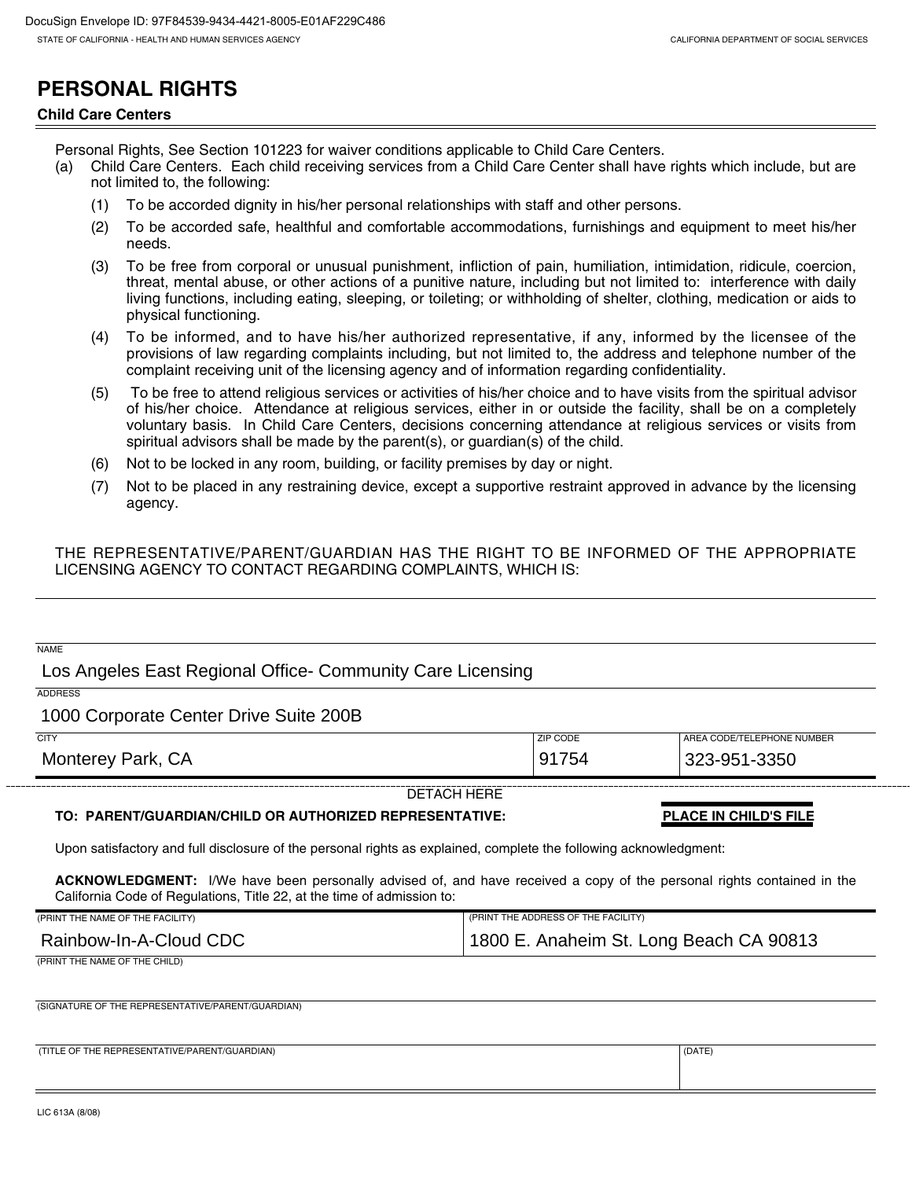# **PERSONAL RIGHTS**

#### **Child Care Centers**

Personal Rights, See Section 101223 for waiver conditions applicable to Child Care Centers.

- (a) Child Care Centers. Each child receiving services from a Child Care Center shall have rights which include, but are not limited to, the following:
	- (1) To be accorded dignity in his/her personal relationships with staff and other persons.
	- (2) To be accorded safe, healthful and comfortable accommodations, furnishings and equipment to meet his/her needs.
	- (3) To be free from corporal or unusual punishment, infliction of pain, humiliation, intimidation, ridicule, coercion, threat, mental abuse, or other actions of a punitive nature, including but not limited to: interference with daily living functions, including eating, sleeping, or toileting; or withholding of shelter, clothing, medication or aids to physical functioning.
	- (4) To be informed, and to have his/her authorized representative, if any, informed by the licensee of the provisions of law regarding complaints including, but not limited to, the address and telephone number of the complaint receiving unit of the licensing agency and of information regarding confidentiality.
	- (5) To be free to attend religious services or activities of his/her choice and to have visits from the spiritual advisor of his/her choice. Attendance at religious services, either in or outside the facility, shall be on a completely voluntary basis. In Child Care Centers, decisions concerning attendance at religious services or visits from spiritual advisors shall be made by the parent(s), or guardian(s) of the child.
	- (6) Not to be locked in any room, building, or facility premises by day or night.
	- (7) Not to be placed in any restraining device, except a supportive restraint approved in advance by the licensing agency.

#### THE REPRESENTATIVE/PARENT/GUARDIAN HAS THE RIGHT TO BE INFORMED OF THE APPROPRIATE LICENSING AGENCY TO CONTACT REGARDING COMPLAINTS, WHICH IS:

| <b>NAME</b>                                                                                                                                                                                             |                                     |                              |  |
|---------------------------------------------------------------------------------------------------------------------------------------------------------------------------------------------------------|-------------------------------------|------------------------------|--|
| Los Angeles East Regional Office- Community Care Licensing                                                                                                                                              |                                     |                              |  |
| <b>ADDRESS</b>                                                                                                                                                                                          |                                     |                              |  |
| 1000 Corporate Center Drive Suite 200B                                                                                                                                                                  |                                     |                              |  |
| <b>CITY</b>                                                                                                                                                                                             | ZIP CODE                            | AREA CODE/TELEPHONE NUMBER   |  |
| Monterey Park, CA                                                                                                                                                                                       | 91754                               | 323-951-3350                 |  |
|                                                                                                                                                                                                         | <b>DETACH HERE</b>                  |                              |  |
| TO: PARENT/GUARDIAN/CHILD OR AUTHORIZED REPRESENTATIVE:                                                                                                                                                 |                                     | <b>PLACE IN CHILD'S FILE</b> |  |
| Upon satisfactory and full disclosure of the personal rights as explained, complete the following acknowledgment:                                                                                       |                                     |                              |  |
| <b>ACKNOWLEDGMENT:</b> I/We have been personally advised of, and have received a copy of the personal rights contained in the<br>California Code of Regulations, Title 22, at the time of admission to: |                                     |                              |  |
| (PRINT THE NAME OF THE FACILITY)                                                                                                                                                                        | (PRINT THE ADDRESS OF THE FACILITY) |                              |  |
| Rainbow-In-A-Cloud CDC<br>1800 E. Anaheim St. Long Beach CA 90813                                                                                                                                       |                                     |                              |  |
| (PRINT THE NAME OF THE CHILD)                                                                                                                                                                           |                                     |                              |  |
|                                                                                                                                                                                                         |                                     |                              |  |
| (SIGNATURE OF THE REPRESENTATIVE/PARENT/GUARDIAN)                                                                                                                                                       |                                     |                              |  |
|                                                                                                                                                                                                         |                                     |                              |  |
| (TITLE OF THE REPRESENTATIVE/PARENT/GUARDIAN)                                                                                                                                                           |                                     | (DATE)                       |  |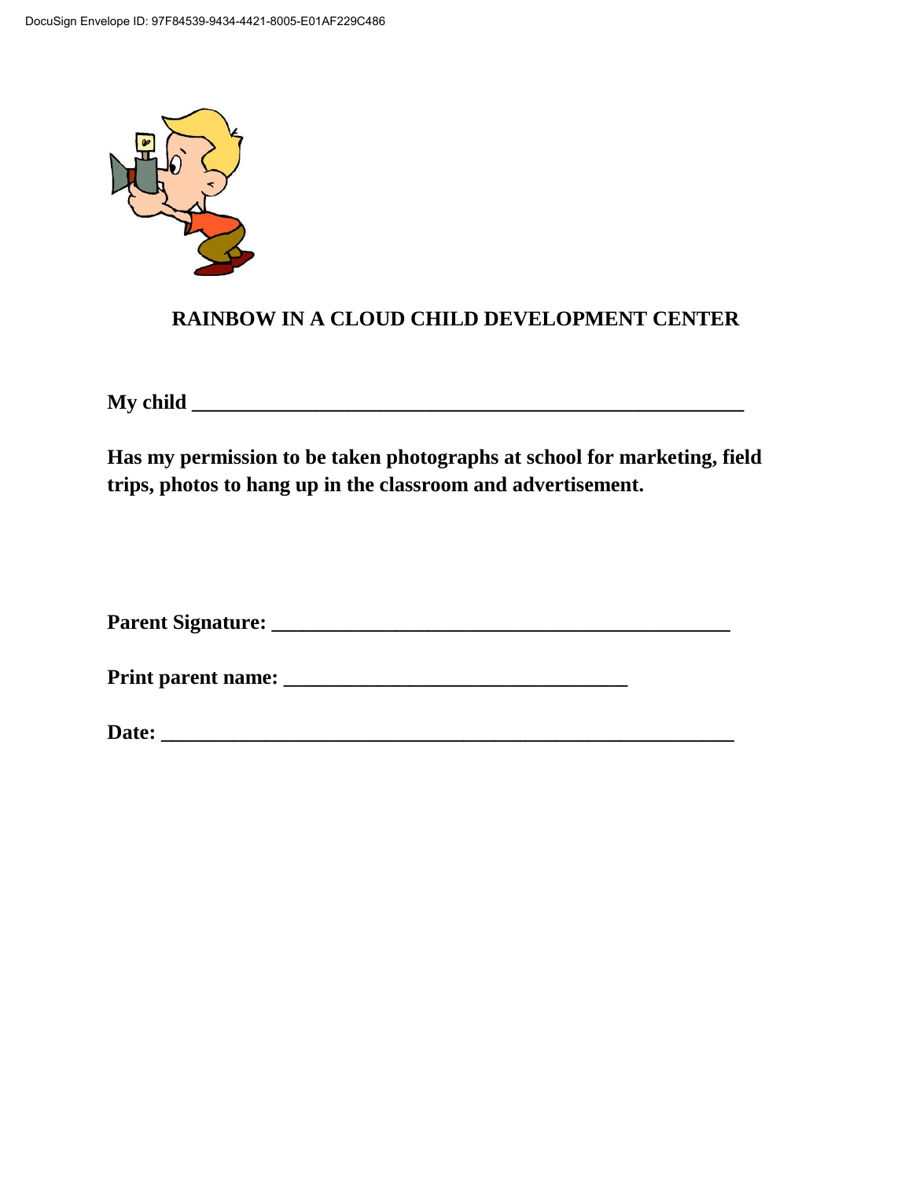

## **RAINBOW IN A CLOUD CHILD DEVELOPMENT CENTER**

**My child \_\_\_\_\_\_\_\_\_\_\_\_\_\_\_\_\_\_\_\_\_\_\_\_\_\_\_\_\_\_\_\_\_\_\_\_\_\_\_\_\_\_\_\_\_\_\_\_\_\_\_\_\_**

**Has my permission to be taken photographs at school for marketing, field trips, photos to hang up in the classroom and advertisement.**

**Parent Signature: \_\_\_\_\_\_\_\_\_\_\_\_\_\_\_\_\_\_\_\_\_\_\_\_\_\_\_\_\_\_\_\_\_\_\_\_\_\_\_\_\_\_\_\_**

**Print parent name: \_\_\_\_\_\_\_\_\_\_\_\_\_\_\_\_\_\_\_\_\_\_\_\_\_\_\_\_\_\_\_\_\_**

**Date: \_\_\_\_\_\_\_\_\_\_\_\_\_\_\_\_\_\_\_\_\_\_\_\_\_\_\_\_\_\_\_\_\_\_\_\_\_\_\_\_\_\_\_\_\_\_\_\_\_\_\_\_\_\_\_**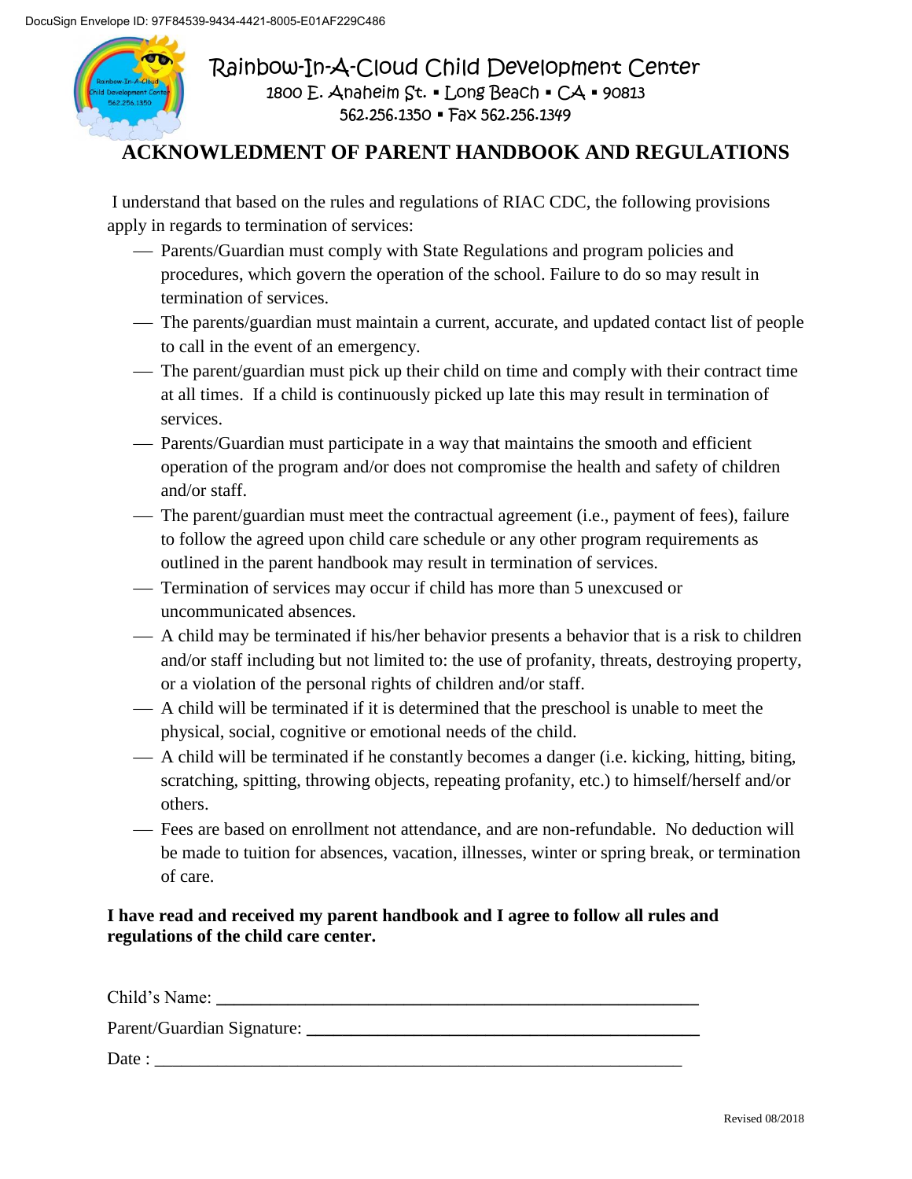

Rainbow-In-A-Cloud Child Development Center 1800 E. Anaheim St. · Long Beach · CA · 90813 562.256.1350 Fax 562.256.1349

## **ACKNOWLEDMENT OF PARENT HANDBOOK AND REGULATIONS**

I understand that based on the rules and regulations of RIAC CDC, the following provisions apply in regards to termination of services:

- Parents/Guardian must comply with State Regulations and program policies and procedures, which govern the operation of the school. Failure to do so may result in termination of services.
- The parents/guardian must maintain a current, accurate, and updated contact list of people to call in the event of an emergency.
- The parent/guardian must pick up their child on time and comply with their contract time at all times. If a child is continuously picked up late this may result in termination of services.
- Parents/Guardian must participate in a way that maintains the smooth and efficient operation of the program and/or does not compromise the health and safety of children and/or staff.
- The parent/guardian must meet the contractual agreement (i.e., payment of fees), failure to follow the agreed upon child care schedule or any other program requirements as outlined in the parent handbook may result in termination of services.
- Termination of services may occur if child has more than 5 unexcused or uncommunicated absences.
- A child may be terminated if his/her behavior presents a behavior that is a risk to children and/or staff including but not limited to: the use of profanity, threats, destroying property, or a violation of the personal rights of children and/or staff.
- A child will be terminated if it is determined that the preschool is unable to meet the physical, social, cognitive or emotional needs of the child.
- A child will be terminated if he constantly becomes a danger (i.e. kicking, hitting, biting, scratching, spitting, throwing objects, repeating profanity, etc.) to himself/herself and/or others.
- Fees are based on enrollment not attendance, and are non-refundable. No deduction will be made to tuition for absences, vacation, illnesses, winter or spring break, or termination of care.

### **I have read and received my parent handbook and I agree to follow all rules and regulations of the child care center.**

Child's Name:

Parent/Guardian Signature:

Date :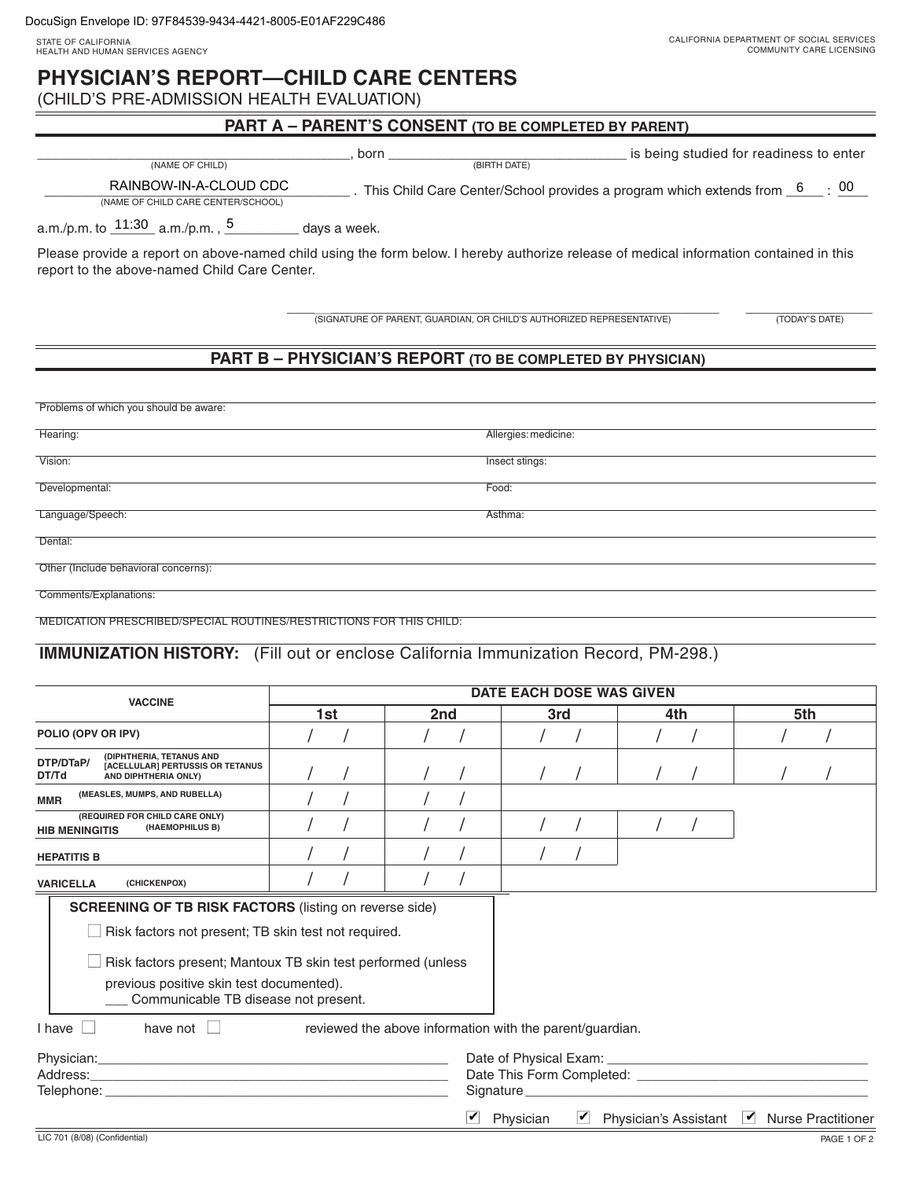## **PHYSICIAN'S REPORT—CHILD CARE CENTERS**

(CHILD'S PRE-ADMISSION HEALTH EVALUATION)

### **PART A – PARENT'S CONSENT (TO BE COMPLETED BY PARENT)**

\_\_\_\_\_\_\_\_\_\_\_\_\_\_\_\_\_\_\_\_\_\_\_\_\_\_\_\_\_\_\_\_\_\_\_\_\_\_\_\_\_\_, born \_\_\_\_\_\_\_\_\_\_\_\_\_\_\_\_\_\_\_\_\_\_\_\_\_\_\_\_\_\_\_\_ is being studied for readiness to enter (NAME OF CHILD)

RAINBOW-IN-A-CLOUD CDC This Child Care Center/School provides a program which extends from  $6$  : 00 (NAME OF CHILD CARE CENTER/SCHOOL)

a.m./p.m. to  $\frac{11:30}{2}$  a.m./p.m.,  $\frac{5}{2}$  days a week.

Please provide a report on above-named child using the form below. I hereby authorize release of medical information contained in this report to the above-named Child Care Center.

\_\_\_\_\_\_\_\_\_\_\_\_\_\_\_\_\_\_\_\_\_\_\_\_\_\_\_\_\_\_\_\_\_\_\_\_\_\_\_\_\_\_\_\_\_\_\_\_\_\_\_\_\_\_\_\_\_\_ \_\_\_\_\_\_\_\_\_\_\_\_\_\_\_\_\_ (SIGNATURE OF PARENT, GUARDIAN, OR CHILD'S AUTHORIZED REPRESENTATIVE) (TODAY'S DATE)

### **PART B – PHYSICIAN'S REPORT (TO BE COMPLETED BY PHYSICIAN)**

| Problems of which you should be aware: |                      |
|----------------------------------------|----------------------|
|                                        |                      |
| Hearing:                               | Allergies: medicine: |
|                                        |                      |
| Vision:                                | Insect stings:       |
|                                        |                      |
| Developmental:                         | Food:                |
|                                        |                      |
|                                        |                      |
| Language/Speech:                       | Asthma:              |
|                                        |                      |
| Dental:                                |                      |
|                                        |                      |
| Other (Include behavioral concerns):   |                      |
|                                        |                      |
| Comments/Explanations:                 |                      |

MEDICATION PRESCRIBED/SPECIAL ROUTINES/RESTRICTIONS FOR THIS CHILD:

### **IMMUNIZATION HISTORY:** (Fill out or enclose California Immunization Record, PM-298.)

| 1st                                                                              | 2nd | 3rd                                                                                                                                                                                   | 4th                           | 5th                                                                                                                                                                                                                                                                                                                 |
|----------------------------------------------------------------------------------|-----|---------------------------------------------------------------------------------------------------------------------------------------------------------------------------------------|-------------------------------|---------------------------------------------------------------------------------------------------------------------------------------------------------------------------------------------------------------------------------------------------------------------------------------------------------------------|
|                                                                                  |     |                                                                                                                                                                                       |                               |                                                                                                                                                                                                                                                                                                                     |
|                                                                                  |     |                                                                                                                                                                                       |                               |                                                                                                                                                                                                                                                                                                                     |
|                                                                                  |     |                                                                                                                                                                                       |                               |                                                                                                                                                                                                                                                                                                                     |
|                                                                                  |     |                                                                                                                                                                                       |                               |                                                                                                                                                                                                                                                                                                                     |
|                                                                                  |     |                                                                                                                                                                                       |                               |                                                                                                                                                                                                                                                                                                                     |
|                                                                                  |     |                                                                                                                                                                                       |                               |                                                                                                                                                                                                                                                                                                                     |
|                                                                                  |     |                                                                                                                                                                                       |                               |                                                                                                                                                                                                                                                                                                                     |
| previous positive skin test documented).<br>Communicable TB disease not present. |     |                                                                                                                                                                                       |                               |                                                                                                                                                                                                                                                                                                                     |
|                                                                                  |     |                                                                                                                                                                                       |                               | Nurse Practitioner                                                                                                                                                                                                                                                                                                  |
|                                                                                  |     | <b>SCREENING OF TB RISK FACTORS</b> (listing on reverse side)<br>Risk factors not present; TB skin test not required.<br>Risk factors present; Mantoux TB skin test performed (unless | $\boldsymbol{v}$<br>Physician | reviewed the above information with the parent/guardian.<br>Signature experience and the state of the state of the state of the state of the state of the state of the state of the state of the state of the state of the state of the state of the state of the state of the state of th<br>Physician's Assistant |